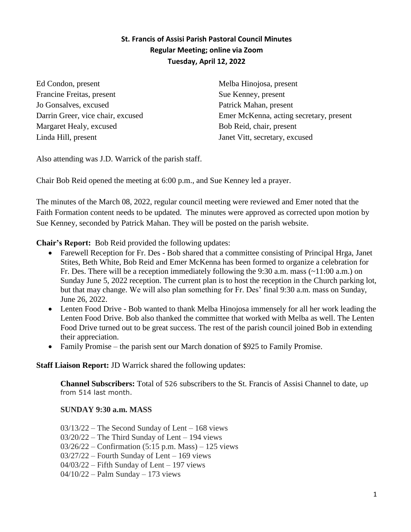## **St. Francis of Assisi Parish Pastoral Council Minutes Regular Meeting; online via Zoom Tuesday, April 12, 2022**

Ed Condon, present Francine Freitas, present Jo Gonsalves, excused Darrin Greer, vice chair, excused Margaret Healy, excused Linda Hill, present

Melba Hinojosa, present Sue Kenney, present Patrick Mahan, present Emer McKenna, acting secretary, present Bob Reid, chair, present Janet Vitt, secretary, excused

Also attending was J.D. Warrick of the parish staff.

Chair Bob Reid opened the meeting at 6:00 p.m., and Sue Kenney led a prayer.

The minutes of the March 08, 2022, regular council meeting were reviewed and Emer noted that the Faith Formation content needs to be updated. The minutes were approved as corrected upon motion by Sue Kenney, seconded by Patrick Mahan. They will be posted on the parish website.

**Chair's Report:** Bob Reid provided the following updates:

- Farewell Reception for Fr. Des Bob shared that a committee consisting of Principal Hrga, Janet Stites, Beth White, Bob Reid and Emer McKenna has been formed to organize a celebration for Fr. Des. There will be a reception immediately following the 9:30 a.m. mass  $(\sim 11:00$  a.m.) on Sunday June 5, 2022 reception. The current plan is to host the reception in the Church parking lot, but that may change. We will also plan something for Fr. Des' final 9:30 a.m. mass on Sunday, June 26, 2022.
- Lenten Food Drive Bob wanted to thank Melba Hinojosa immensely for all her work leading the Lenten Food Drive. Bob also thanked the committee that worked with Melba as well. The Lenten Food Drive turned out to be great success. The rest of the parish council joined Bob in extending their appreciation.
- Family Promise the parish sent our March donation of \$925 to Family Promise.

## **Staff Liaison Report:** JD Warrick shared the following updates:

**Channel Subscribers:** Total of 526 subscribers to the St. Francis of Assisi Channel to date, up from 514 last month.

## **SUNDAY 9:30 a.m. MASS**

03/13/22 – The Second Sunday of Lent – 168 views

- 03/20/22 The Third Sunday of Lent 194 views
- 03/26/22 Confirmation (5:15 p.m. Mass) 125 views
- 03/27/22 Fourth Sunday of Lent 169 views
- $04/03/22$  Fifth Sunday of Lent 197 views
- 04/10/22 Palm Sunday 173 views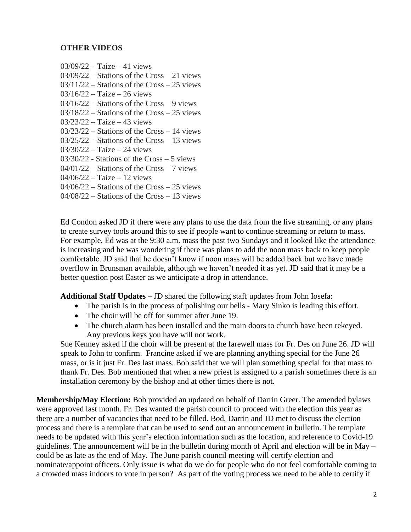## **OTHER VIDEOS**

03/09/22 – Taize – 41 views 03/09/22 – Stations of the Cross – 21 views 03/11/22 – Stations of the Cross – 25 views 03/16/22 – Taize – 26 views 03/16/22 – Stations of the Cross – 9 views 03/18/22 – Stations of the Cross – 25 views 03/23/22 – Taize – 43 views 03/23/22 – Stations of the Cross – 14 views 03/25/22 – Stations of the Cross – 13 views  $03/30/22 - Taize - 24$  views 03/30/22 - Stations of the Cross – 5 views 04/01/22 – Stations of the Cross – 7 views 04/06/22 – Taize – 12 views 04/06/22 – Stations of the Cross – 25 views 04/08/22 – Stations of the Cross – 13 views

Ed Condon asked JD if there were any plans to use the data from the live streaming, or any plans to create survey tools around this to see if people want to continue streaming or return to mass. For example, Ed was at the 9:30 a.m. mass the past two Sundays and it looked like the attendance is increasing and he was wondering if there was plans to add the noon mass back to keep people comfortable. JD said that he doesn't know if noon mass will be added back but we have made overflow in Brunsman available, although we haven't needed it as yet. JD said that it may be a better question post Easter as we anticipate a drop in attendance.

**Additional Staff Updates** – JD shared the following staff updates from John Iosefa:

- The parish is in the process of polishing our bells Mary Sinko is leading this effort.
- The choir will be off for summer after June 19.
- The church alarm has been installed and the main doors to church have been rekeyed. Any previous keys you have will not work.

Sue Kenney asked if the choir will be present at the farewell mass for Fr. Des on June 26. JD will speak to John to confirm. Francine asked if we are planning anything special for the June 26 mass, or is it just Fr. Des last mass. Bob said that we will plan something special for that mass to thank Fr. Des. Bob mentioned that when a new priest is assigned to a parish sometimes there is an installation ceremony by the bishop and at other times there is not.

**Membership/May Election:** Bob provided an updated on behalf of Darrin Greer. The amended bylaws were approved last month. Fr. Des wanted the parish council to proceed with the election this year as there are a number of vacancies that need to be filled. Bod, Darrin and JD met to discuss the election process and there is a template that can be used to send out an announcement in bulletin. The template needs to be updated with this year's election information such as the location, and reference to Covid-19 guidelines. The announcement will be in the bulletin during month of April and election will be in May – could be as late as the end of May. The June parish council meeting will certify election and nominate/appoint officers. Only issue is what do we do for people who do not feel comfortable coming to a crowded mass indoors to vote in person? As part of the voting process we need to be able to certify if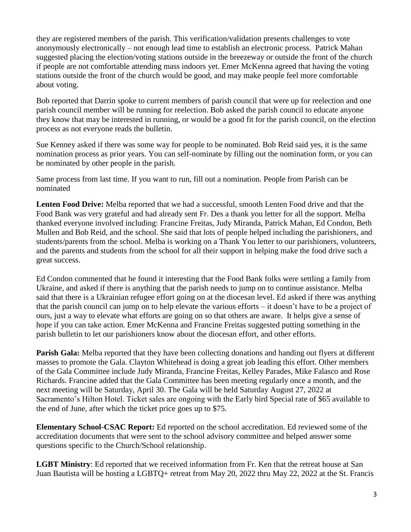they are registered members of the parish. This verification/validation presents challenges to vote anonymously electronically – not enough lead time to establish an electronic process. Patrick Mahan suggested placing the election/voting stations outside in the breezeway or outside the front of the church if people are not comfortable attending mass indoors yet. Emer McKenna agreed that having the voting stations outside the front of the church would be good, and may make people feel more comfortable about voting.

Bob reported that Darrin spoke to current members of parish council that were up for reelection and one parish council member will be running for reelection. Bob asked the parish council to educate anyone they know that may be interested in running, or would be a good fit for the parish council, on the election process as not everyone reads the bulletin.

Sue Kenney asked if there was some way for people to be nominated. Bob Reid said yes, it is the same nomination process as prior years. You can self-nominate by filling out the nomination form, or you can be nominated by other people in the parish.

Same process from last time. If you want to run, fill out a nomination. People from Parish can be nominated

**Lenten Food Drive:** Melba reported that we had a successful, smooth Lenten Food drive and that the Food Bank was very grateful and had already sent Fr. Des a thank you letter for all the support. Melba thanked everyone involved including: Francine Freitas, Judy Miranda, Patrick Mahan, Ed Condon, Beth Mullen and Bob Reid, and the school. She said that lots of people helped including the parishioners, and students/parents from the school. Melba is working on a Thank You letter to our parishioners, volunteers, and the parents and students from the school for all their support in helping make the food drive such a great success.

Ed Condon commented that he found it interesting that the Food Bank folks were settling a family from Ukraine, and asked if there is anything that the parish needs to jump on to continue assistance. Melba said that there is a Ukrainian refugee effort going on at the diocesan level. Ed asked if there was anything that the parish council can jump on to help elevate the various efforts – it doesn't have to be a project of ours, just a way to elevate what efforts are going on so that others are aware. It helps give a sense of hope if you can take action. Emer McKenna and Francine Freitas suggested putting something in the parish bulletin to let our parishioners know about the diocesan effort, and other efforts.

**Parish Gala:** Melba reported that they have been collecting donations and handing out flyers at different masses to promote the Gala. Clayton Whitehead is doing a great job leading this effort. Other members of the Gala Committee include Judy Miranda, Francine Freitas, Kelley Parades, Mike Falasco and Rose Richards. Francine added that the Gala Committee has been meeting regularly once a month, and the next meeting will be Saturday, April 30. The Gala will be held Saturday August 27, 2022 at Sacramento's Hilton Hotel. Ticket sales are ongoing with the Early bird Special rate of \$65 available to the end of June, after which the ticket price goes up to \$75.

**Elementary School-CSAC Report:** Ed reported on the school accreditation. Ed reviewed some of the accreditation documents that were sent to the school advisory committee and helped answer some questions specific to the Church/School relationship.

**LGBT Ministry**: Ed reported that we received information from Fr. Ken that the retreat house at San Juan Bautista will be hosting a LGBTQ+ retreat from May 20, 2022 thru May 22, 2022 at the St. Francis